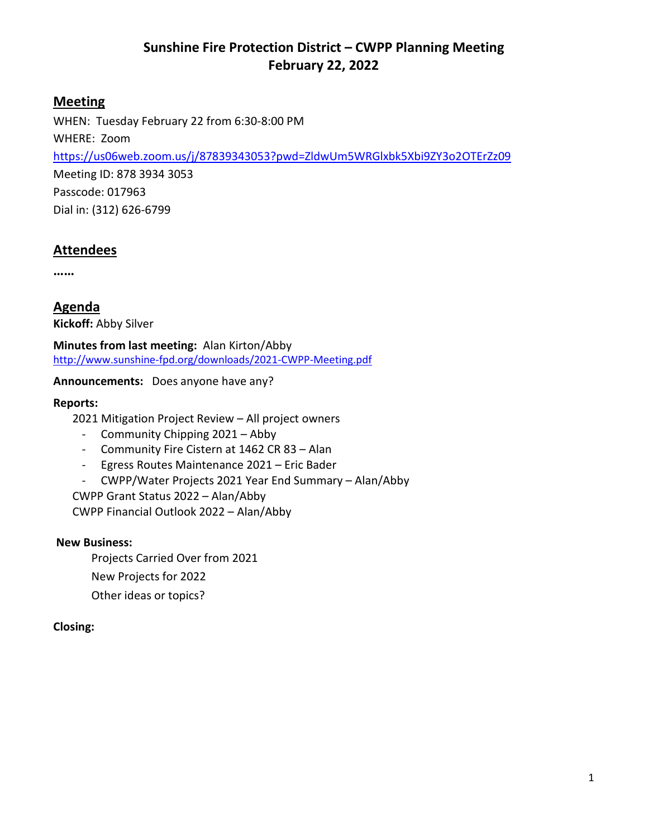## **Meeting**

WHEN: Tuesday February 22 from 6:30-8:00 PM WHERE: Zoom <https://us06web.zoom.us/j/87839343053?pwd=ZldwUm5WRGlxbk5Xbi9ZY3o2OTErZz09> Meeting ID: 878 3934 3053 Passcode: 017963 Dial in: (312) 626-6799

## **Attendees**

**……**

**Agenda Kickoff:** Abby Silver

**Minutes from last meeting:** Alan Kirton/Abby <http://www.sunshine-fpd.org/downloads/2021-CWPP-Meeting.pdf>

**Announcements:** Does anyone have any?

### **Reports:**

2021 Mitigation Project Review – All project owners

- Community Chipping 2021 Abby
- Community Fire Cistern at 1462 CR 83 Alan
- Egress Routes Maintenance 2021 Eric Bader
- CWPP/Water Projects 2021 Year End Summary Alan/Abby

CWPP Grant Status 2022 – Alan/Abby

CWPP Financial Outlook 2022 – Alan/Abby

#### **New Business:**

Projects Carried Over from 2021 New Projects for 2022 Other ideas or topics?

## **Closing:**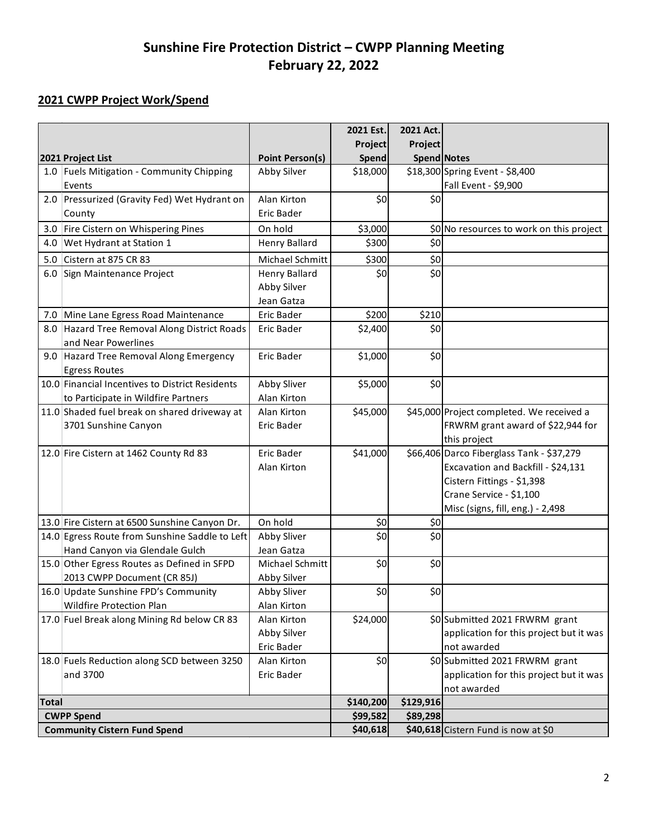## **2021 CWPP Project Work/Spend**

|                                     |                                                                         |                            | 2021 Est. | 2021 Act.                           |                                           |
|-------------------------------------|-------------------------------------------------------------------------|----------------------------|-----------|-------------------------------------|-------------------------------------------|
|                                     |                                                                         |                            | Project   | Project                             |                                           |
|                                     | 2021 Project List                                                       | <b>Point Person(s)</b>     | Spend     | <b>Spend Notes</b>                  |                                           |
|                                     | 1.0 Fuels Mitigation - Community Chipping                               | Abby Silver                | \$18,000  |                                     | \$18,300 Spring Event - \$8,400           |
|                                     | Events                                                                  |                            |           |                                     | Fall Event - \$9,900                      |
|                                     | 2.0 Pressurized (Gravity Fed) Wet Hydrant on                            | Alan Kirton                | \$0       | \$0                                 |                                           |
|                                     | County                                                                  | Eric Bader                 |           |                                     |                                           |
|                                     | 3.0 Fire Cistern on Whispering Pines                                    | On hold                    | \$3,000   |                                     | \$0 No resources to work on this project  |
|                                     | 4.0 Wet Hydrant at Station 1                                            | <b>Henry Ballard</b>       | \$300     | \$0                                 |                                           |
|                                     | 5.0 Cistern at 875 CR 83                                                | Michael Schmitt            | \$300     | \$0                                 |                                           |
|                                     | 6.0 Sign Maintenance Project                                            | <b>Henry Ballard</b>       | \$0       | \$0                                 |                                           |
|                                     |                                                                         | Abby Silver                |           |                                     |                                           |
|                                     |                                                                         | Jean Gatza                 |           |                                     |                                           |
|                                     | 7.0 Mine Lane Egress Road Maintenance                                   | Eric Bader                 | \$200     | \$210                               |                                           |
|                                     | 8.0 Hazard Tree Removal Along District Roads                            | Eric Bader                 | \$2,400   | \$0                                 |                                           |
|                                     | and Near Powerlines                                                     |                            |           |                                     |                                           |
|                                     | 9.0 Hazard Tree Removal Along Emergency                                 | Eric Bader                 | \$1,000   | \$0                                 |                                           |
|                                     | <b>Egress Routes</b>                                                    |                            |           |                                     |                                           |
|                                     | 10.0 Financial Incentives to District Residents                         | Abby Sliver                | \$5,000   | \$0                                 |                                           |
|                                     | to Participate in Wildfire Partners                                     | Alan Kirton                |           |                                     |                                           |
|                                     | 11.0 Shaded fuel break on shared driveway at                            | Alan Kirton                | \$45,000  |                                     | \$45,000 Project completed. We received a |
|                                     | 3701 Sunshine Canyon                                                    | Eric Bader                 |           |                                     | FRWRM grant award of \$22,944 for         |
|                                     |                                                                         |                            |           |                                     | this project                              |
|                                     | 12.0 Fire Cistern at 1462 County Rd 83                                  | <b>Eric Bader</b>          | \$41,000  |                                     | \$66,406 Darco Fiberglass Tank - \$37,279 |
|                                     |                                                                         | Alan Kirton                |           |                                     | Excavation and Backfill - \$24,131        |
|                                     |                                                                         |                            |           |                                     | Cistern Fittings - \$1,398                |
|                                     |                                                                         |                            |           |                                     | Crane Service - \$1,100                   |
|                                     |                                                                         |                            |           |                                     | Misc (signs, fill, eng.) - 2,498          |
|                                     | 13.0 Fire Cistern at 6500 Sunshine Canyon Dr.                           | On hold                    | \$0       | \$0                                 |                                           |
|                                     | 14.0 Egress Route from Sunshine Saddle to Left                          | Abby Sliver                | \$0       | \$0                                 |                                           |
|                                     | Hand Canyon via Glendale Gulch                                          | Jean Gatza                 |           |                                     |                                           |
|                                     | 15.0 Other Egress Routes as Defined in SFPD                             | Michael Schmitt            | \$0       | \$0                                 |                                           |
|                                     | 2013 CWPP Document (CR 85J)                                             | Abby Silver                | \$0       | \$0                                 |                                           |
|                                     | 16.0 Update Sunshine FPD's Community                                    | Abby Sliver                |           |                                     |                                           |
|                                     | Wildfire Protection Plan<br>17.0 Fuel Break along Mining Rd below CR 83 | Alan Kirton<br>Alan Kirton | \$24,000  |                                     | \$0 Submitted 2021 FRWRM grant            |
|                                     |                                                                         | Abby Silver                |           |                                     | application for this project but it was   |
|                                     |                                                                         | Eric Bader                 |           |                                     | not awarded                               |
|                                     | 18.0 Fuels Reduction along SCD between 3250                             | Alan Kirton                | \$0       |                                     | \$0 Submitted 2021 FRWRM grant            |
|                                     | and 3700                                                                | Eric Bader                 |           |                                     | application for this project but it was   |
|                                     |                                                                         |                            |           |                                     | not awarded                               |
| <b>Total</b>                        |                                                                         |                            | \$140,200 | \$129,916                           |                                           |
| <b>CWPP Spend</b>                   |                                                                         |                            | \$99,582  | \$89,298                            |                                           |
| <b>Community Cistern Fund Spend</b> |                                                                         | \$40,618                   |           | \$40,618 Cistern Fund is now at \$0 |                                           |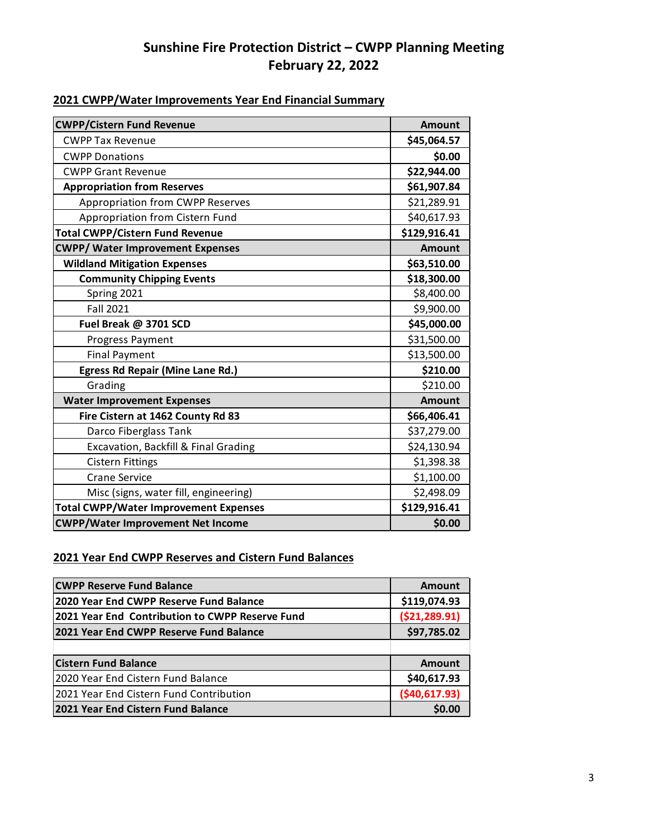## **2021 CWPP/Water Improvements Year End Financial Summary**

| <b>CWPP/Cistern Fund Revenue</b>             | <b>Amount</b> |
|----------------------------------------------|---------------|
| <b>CWPP Tax Revenue</b>                      | \$45,064.57   |
| <b>CWPP Donations</b>                        | \$0.00        |
| <b>CWPP Grant Revenue</b>                    | \$22,944.00   |
| <b>Appropriation from Reserves</b>           | \$61,907.84   |
| <b>Appropriation from CWPP Reserves</b>      | \$21,289.91   |
| Appropriation from Cistern Fund              | \$40,617.93   |
| <b>Total CWPP/Cistern Fund Revenue</b>       | \$129,916.41  |
| <b>CWPP/ Water Improvement Expenses</b>      | <b>Amount</b> |
| <b>Wildland Mitigation Expenses</b>          | \$63,510.00   |
| <b>Community Chipping Events</b>             | \$18,300.00   |
| Spring 2021                                  | \$8,400.00    |
| <b>Fall 2021</b>                             | \$9,900.00    |
| Fuel Break @ 3701 SCD                        | \$45,000.00   |
| Progress Payment                             | \$31,500.00   |
| <b>Final Payment</b>                         | \$13,500.00   |
| <b>Egress Rd Repair (Mine Lane Rd.)</b>      | \$210.00      |
| Grading                                      | \$210.00      |
| <b>Water Improvement Expenses</b>            | <b>Amount</b> |
| Fire Cistern at 1462 County Rd 83            | \$66,406.41   |
| Darco Fiberglass Tank                        | \$37,279.00   |
| Excavation, Backfill & Final Grading         | \$24,130.94   |
| <b>Cistern Fittings</b>                      | \$1,398.38    |
| <b>Crane Service</b>                         | \$1,100.00    |
| Misc (signs, water fill, engineering)        | \$2,498.09    |
| <b>Total CWPP/Water Improvement Expenses</b> | \$129,916.41  |
| <b>CWPP/Water Improvement Net Income</b>     | \$0.00        |

## **2021 Year End CWPP Reserves and Cistern Fund Balances**

| <b>CWPP Reserve Fund Balance</b>                | <b>Amount</b> |  |
|-------------------------------------------------|---------------|--|
| 2020 Year End CWPP Reserve Fund Balance         | \$119,074.93  |  |
| 2021 Year End Contribution to CWPP Reserve Fund | (521, 289.91) |  |
| 2021 Year End CWPP Reserve Fund Balance         | \$97,785.02   |  |
|                                                 |               |  |
| <b>Cistern Fund Balance</b>                     | <b>Amount</b> |  |
| 2020 Year End Cistern Fund Balance              | \$40,617.93   |  |
| 2021 Year End Cistern Fund Contribution         | (540, 617.93) |  |
| 2021 Year End Cistern Fund Balance              | \$0.00        |  |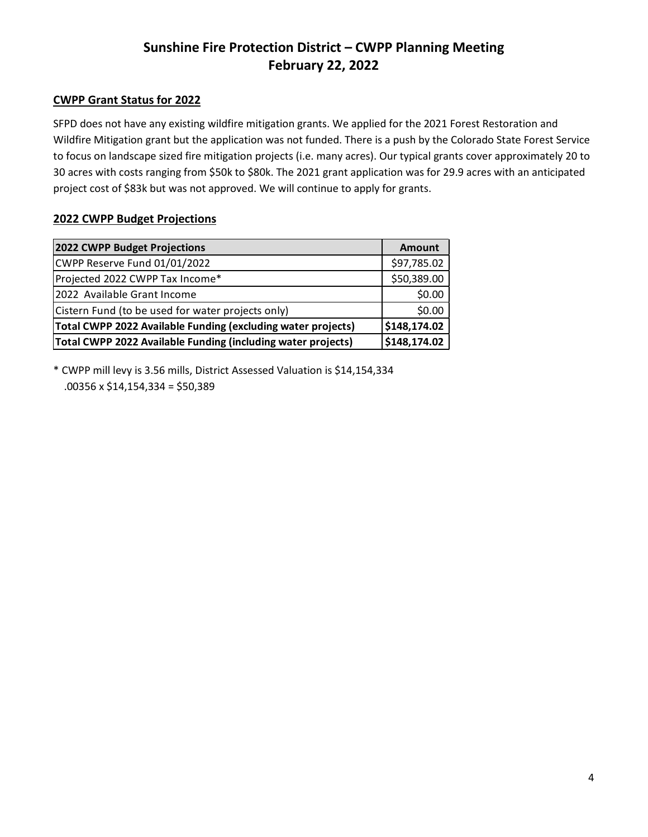### **CWPP Grant Status for 2022**

SFPD does not have any existing wildfire mitigation grants. We applied for the 2021 Forest Restoration and Wildfire Mitigation grant but the application was not funded. There is a push by the Colorado State Forest Service to focus on landscape sized fire mitigation projects (i.e. many acres). Our typical grants cover approximately 20 to 30 acres with costs ranging from \$50k to \$80k. The 2021 grant application was for 29.9 acres with an anticipated project cost of \$83k but was not approved. We will continue to apply for grants.

#### **2022 CWPP Budget Projections**

| 2022 CWPP Budget Projections                                 | <b>Amount</b> |
|--------------------------------------------------------------|---------------|
| CWPP Reserve Fund 01/01/2022                                 | \$97,785.02   |
| Projected 2022 CWPP Tax Income*                              | \$50,389.00   |
| 2022 Available Grant Income                                  | \$0.00        |
| Cistern Fund (to be used for water projects only)            | \$0.00        |
| Total CWPP 2022 Available Funding (excluding water projects) | \$148,174.02  |
| Total CWPP 2022 Available Funding (including water projects) | \$148,174.02  |

\* CWPP mill levy is 3.56 mills, District Assessed Valuation is \$14,154,334 .00356 x \$14,154,334 = \$50,389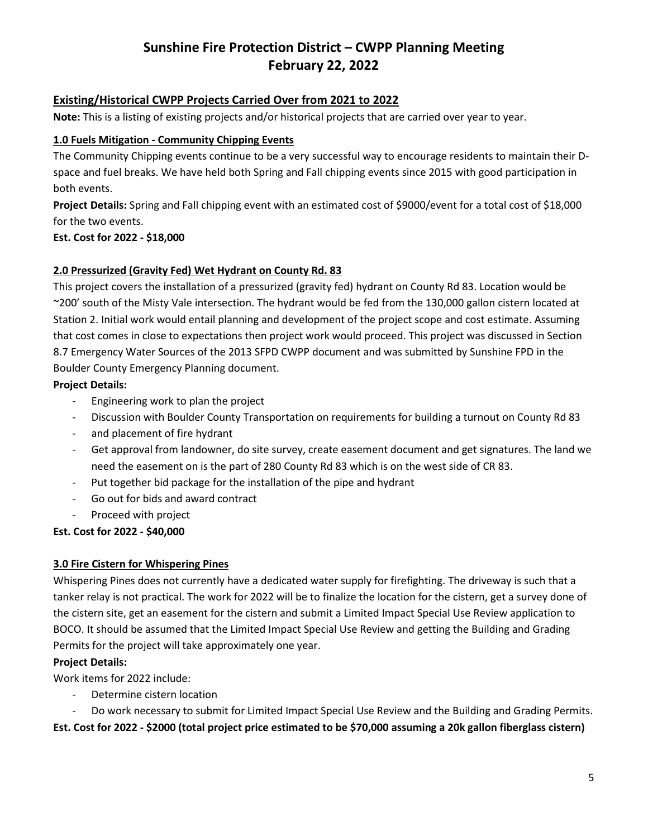## **Existing/Historical CWPP Projects Carried Over from 2021 to 2022**

**Note:** This is a listing of existing projects and/or historical projects that are carried over year to year.

#### **1.0 Fuels Mitigation - Community Chipping Events**

The Community Chipping events continue to be a very successful way to encourage residents to maintain their Dspace and fuel breaks. We have held both Spring and Fall chipping events since 2015 with good participation in both events.

**Project Details:** Spring and Fall chipping event with an estimated cost of \$9000/event for a total cost of \$18,000 for the two events.

### **Est. Cost for 2022 - \$18,000**

### **2.0 Pressurized (Gravity Fed) Wet Hydrant on County Rd. 83**

This project covers the installation of a pressurized (gravity fed) hydrant on County Rd 83. Location would be ~200' south of the Misty Vale intersection. The hydrant would be fed from the 130,000 gallon cistern located at Station 2. Initial work would entail planning and development of the project scope and cost estimate. Assuming that cost comes in close to expectations then project work would proceed. This project was discussed in Section 8.7 Emergency Water Sources of the 2013 SFPD CWPP document and was submitted by Sunshine FPD in the Boulder County Emergency Planning document.

### **Project Details:**

- Engineering work to plan the project
- Discussion with Boulder County Transportation on requirements for building a turnout on County Rd 83
- and placement of fire hydrant
- Get approval from landowner, do site survey, create easement document and get signatures. The land we need the easement on is the part of 280 County Rd 83 which is on the west side of CR 83.
- Put together bid package for the installation of the pipe and hydrant
- Go out for bids and award contract
- Proceed with project

## **Est. Cost for 2022 - \$40,000**

## **3.0 Fire Cistern for Whispering Pines**

Whispering Pines does not currently have a dedicated water supply for firefighting. The driveway is such that a tanker relay is not practical. The work for 2022 will be to finalize the location for the cistern, get a survey done of the cistern site, get an easement for the cistern and submit a Limited Impact Special Use Review application to BOCO. It should be assumed that the Limited Impact Special Use Review and getting the Building and Grading Permits for the project will take approximately one year.

#### **Project Details:**

Work items for 2022 include:

- Determine cistern location
- Do work necessary to submit for Limited Impact Special Use Review and the Building and Grading Permits.

**Est. Cost for 2022 - \$2000 (total project price estimated to be \$70,000 assuming a 20k gallon fiberglass cistern)**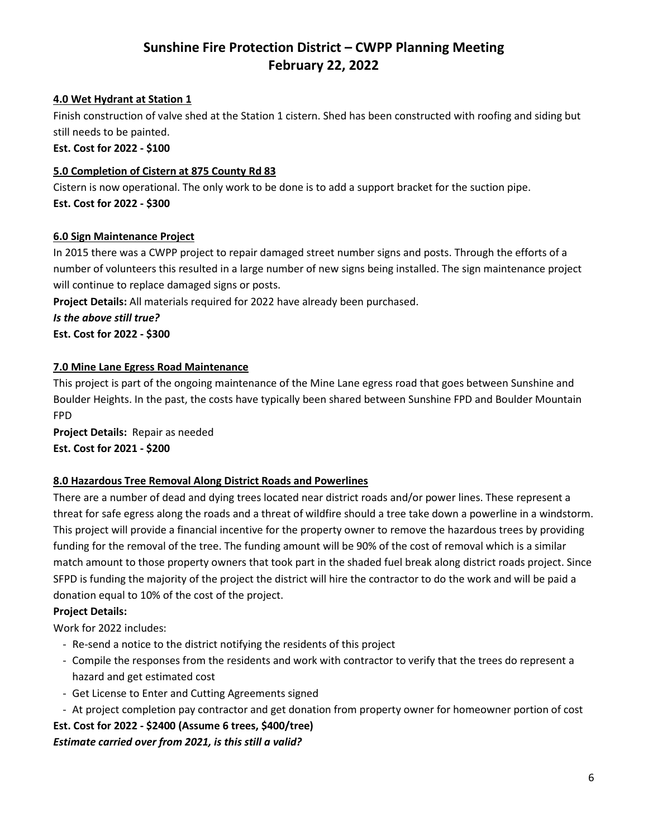#### **4.0 Wet Hydrant at Station 1**

Finish construction of valve shed at the Station 1 cistern. Shed has been constructed with roofing and siding but still needs to be painted.

**Est. Cost for 2022 - \$100**

#### **5.0 Completion of Cistern at 875 County Rd 83**

Cistern is now operational. The only work to be done is to add a support bracket for the suction pipe. **Est. Cost for 2022 - \$300**

#### **6.0 Sign Maintenance Project**

In 2015 there was a CWPP project to repair damaged street number signs and posts. Through the efforts of a number of volunteers this resulted in a large number of new signs being installed. The sign maintenance project will continue to replace damaged signs or posts.

**Project Details:** All materials required for 2022 have already been purchased.

*Is the above still true?*

**Est. Cost for 2022 - \$300**

#### **7.0 Mine Lane Egress Road Maintenance**

This project is part of the ongoing maintenance of the Mine Lane egress road that goes between Sunshine and Boulder Heights. In the past, the costs have typically been shared between Sunshine FPD and Boulder Mountain FPD

**Project Details:** Repair as needed

**Est. Cost for 2021 - \$200**

#### **8.0 Hazardous Tree Removal Along District Roads and Powerlines**

There are a number of dead and dying trees located near district roads and/or power lines. These represent a threat for safe egress along the roads and a threat of wildfire should a tree take down a powerline in a windstorm. This project will provide a financial incentive for the property owner to remove the hazardous trees by providing funding for the removal of the tree. The funding amount will be 90% of the cost of removal which is a similar match amount to those property owners that took part in the shaded fuel break along district roads project. Since SFPD is funding the majority of the project the district will hire the contractor to do the work and will be paid a donation equal to 10% of the cost of the project.

#### **Project Details:**

Work for 2022 includes:

- Re-send a notice to the district notifying the residents of this project
- Compile the responses from the residents and work with contractor to verify that the trees do represent a hazard and get estimated cost
- Get License to Enter and Cutting Agreements signed
- At project completion pay contractor and get donation from property owner for homeowner portion of cost

## **Est. Cost for 2022 - \$2400 (Assume 6 trees, \$400/tree)**

#### *Estimate carried over from 2021, is this still a valid?*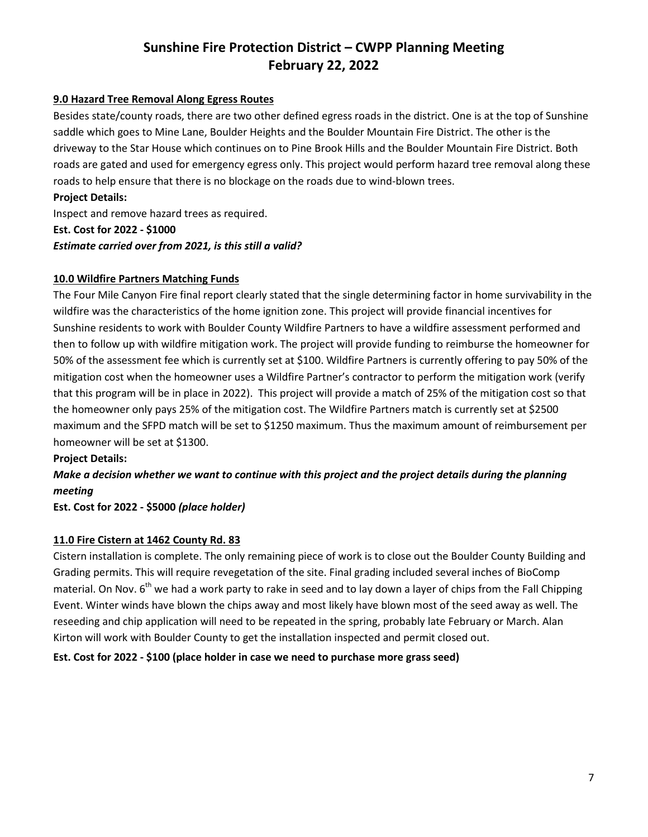#### **9.0 Hazard Tree Removal Along Egress Routes**

Besides state/county roads, there are two other defined egress roads in the district. One is at the top of Sunshine saddle which goes to Mine Lane, Boulder Heights and the Boulder Mountain Fire District. The other is the driveway to the Star House which continues on to Pine Brook Hills and the Boulder Mountain Fire District. Both roads are gated and used for emergency egress only. This project would perform hazard tree removal along these roads to help ensure that there is no blockage on the roads due to wind-blown trees.

### **Project Details:**

Inspect and remove hazard trees as required.

**Est. Cost for 2022 - \$1000**

*Estimate carried over from 2021, is this still a valid?*

### **10.0 Wildfire Partners Matching Funds**

The Four Mile Canyon Fire final report clearly stated that the single determining factor in home survivability in the wildfire was the characteristics of the home ignition zone. This project will provide financial incentives for Sunshine residents to work with Boulder County Wildfire Partners to have a wildfire assessment performed and then to follow up with wildfire mitigation work. The project will provide funding to reimburse the homeowner for 50% of the assessment fee which is currently set at \$100. Wildfire Partners is currently offering to pay 50% of the mitigation cost when the homeowner uses a Wildfire Partner's contractor to perform the mitigation work (verify that this program will be in place in 2022). This project will provide a match of 25% of the mitigation cost so that the homeowner only pays 25% of the mitigation cost. The Wildfire Partners match is currently set at \$2500 maximum and the SFPD match will be set to \$1250 maximum. Thus the maximum amount of reimbursement per homeowner will be set at \$1300.

#### **Project Details:**

## *Make a decision whether we want to continue with this project and the project details during the planning meeting*

## **Est. Cost for 2022 - \$5000** *(place holder)*

## **11.0 Fire Cistern at 1462 County Rd. 83**

Cistern installation is complete. The only remaining piece of work is to close out the Boulder County Building and Grading permits. This will require revegetation of the site. Final grading included several inches of BioComp material. On Nov.  $6<sup>th</sup>$  we had a work party to rake in seed and to lay down a layer of chips from the Fall Chipping Event. Winter winds have blown the chips away and most likely have blown most of the seed away as well. The reseeding and chip application will need to be repeated in the spring, probably late February or March. Alan Kirton will work with Boulder County to get the installation inspected and permit closed out.

## **Est. Cost for 2022 - \$100 (place holder in case we need to purchase more grass seed)**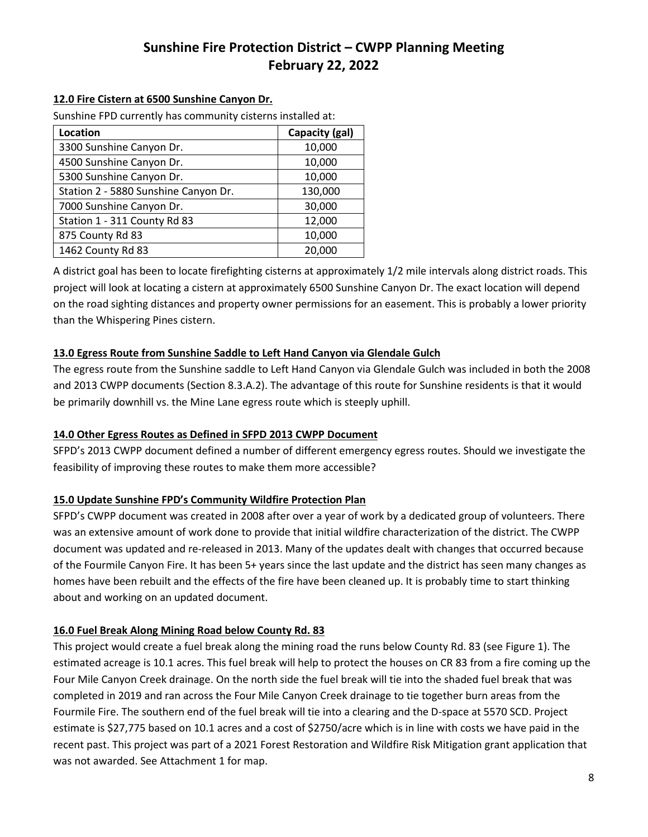#### **12.0 Fire Cistern at 6500 Sunshine Canyon Dr.**

Sunshine FPD currently has community cisterns installed at:

| Location                             | Capacity (gal) |  |
|--------------------------------------|----------------|--|
| 3300 Sunshine Canyon Dr.             | 10,000         |  |
| 4500 Sunshine Canyon Dr.             | 10,000         |  |
| 5300 Sunshine Canyon Dr.             | 10,000         |  |
| Station 2 - 5880 Sunshine Canyon Dr. | 130,000        |  |
| 7000 Sunshine Canyon Dr.             | 30,000         |  |
| Station 1 - 311 County Rd 83         | 12,000         |  |
| 875 County Rd 83                     | 10,000         |  |
| 1462 County Rd 83                    | 20,000         |  |

A district goal has been to locate firefighting cisterns at approximately 1/2 mile intervals along district roads. This project will look at locating a cistern at approximately 6500 Sunshine Canyon Dr. The exact location will depend on the road sighting distances and property owner permissions for an easement. This is probably a lower priority than the Whispering Pines cistern.

#### **13.0 Egress Route from Sunshine Saddle to Left Hand Canyon via Glendale Gulch**

The egress route from the Sunshine saddle to Left Hand Canyon via Glendale Gulch was included in both the 2008 and 2013 CWPP documents (Section 8.3.A.2). The advantage of this route for Sunshine residents is that it would be primarily downhill vs. the Mine Lane egress route which is steeply uphill.

#### **14.0 Other Egress Routes as Defined in SFPD 2013 CWPP Document**

SFPD's 2013 CWPP document defined a number of different emergency egress routes. Should we investigate the feasibility of improving these routes to make them more accessible?

#### **15.0 Update Sunshine FPD's Community Wildfire Protection Plan**

SFPD's CWPP document was created in 2008 after over a year of work by a dedicated group of volunteers. There was an extensive amount of work done to provide that initial wildfire characterization of the district. The CWPP document was updated and re-released in 2013. Many of the updates dealt with changes that occurred because of the Fourmile Canyon Fire. It has been 5+ years since the last update and the district has seen many changes as homes have been rebuilt and the effects of the fire have been cleaned up. It is probably time to start thinking about and working on an updated document.

#### **16.0 Fuel Break Along Mining Road below County Rd. 83**

This project would create a fuel break along the mining road the runs below County Rd. 83 (see Figure 1). The estimated acreage is 10.1 acres. This fuel break will help to protect the houses on CR 83 from a fire coming up the Four Mile Canyon Creek drainage. On the north side the fuel break will tie into the shaded fuel break that was completed in 2019 and ran across the Four Mile Canyon Creek drainage to tie together burn areas from the Fourmile Fire. The southern end of the fuel break will tie into a clearing and the D-space at 5570 SCD. Project estimate is \$27,775 based on 10.1 acres and a cost of \$2750/acre which is in line with costs we have paid in the recent past. This project was part of a 2021 Forest Restoration and Wildfire Risk Mitigation grant application that was not awarded. See Attachment 1 for map.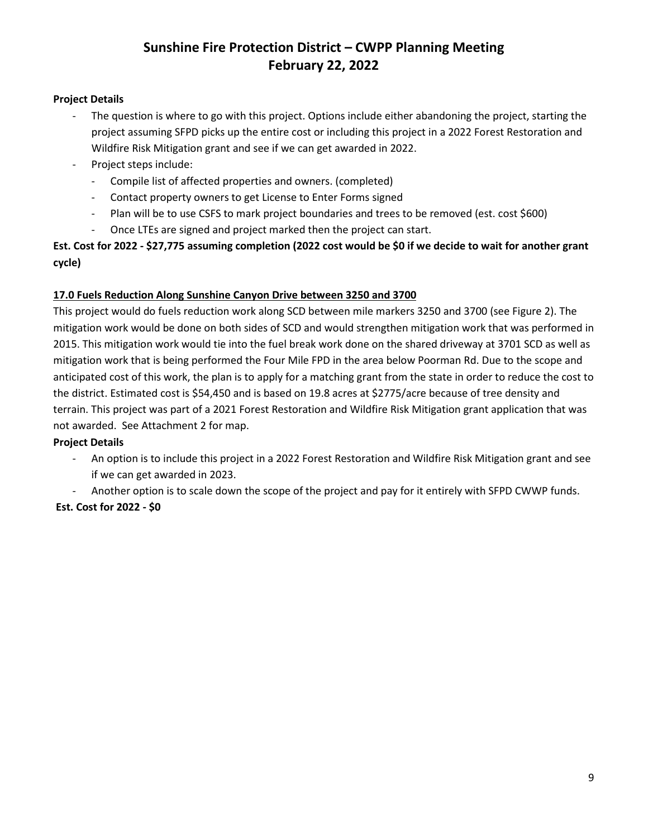#### **Project Details**

- The question is where to go with this project. Options include either abandoning the project, starting the project assuming SFPD picks up the entire cost or including this project in a 2022 Forest Restoration and Wildfire Risk Mitigation grant and see if we can get awarded in 2022.
- Project steps include:
	- Compile list of affected properties and owners. (completed)
	- Contact property owners to get License to Enter Forms signed
	- Plan will be to use CSFS to mark project boundaries and trees to be removed (est. cost \$600)
	- Once LTEs are signed and project marked then the project can start.

**Est. Cost for 2022 - \$27,775 assuming completion (2022 cost would be \$0 if we decide to wait for another grant cycle)**

### **17.0 Fuels Reduction Along Sunshine Canyon Drive between 3250 and 3700**

This project would do fuels reduction work along SCD between mile markers 3250 and 3700 (see Figure 2). The mitigation work would be done on both sides of SCD and would strengthen mitigation work that was performed in 2015. This mitigation work would tie into the fuel break work done on the shared driveway at 3701 SCD as well as mitigation work that is being performed the Four Mile FPD in the area below Poorman Rd. Due to the scope and anticipated cost of this work, the plan is to apply for a matching grant from the state in order to reduce the cost to the district. Estimated cost is \$54,450 and is based on 19.8 acres at \$2775/acre because of tree density and terrain. This project was part of a 2021 Forest Restoration and Wildfire Risk Mitigation grant application that was not awarded. See Attachment 2 for map.

#### **Project Details**

- An option is to include this project in a 2022 Forest Restoration and Wildfire Risk Mitigation grant and see if we can get awarded in 2023.
- Another option is to scale down the scope of the project and pay for it entirely with SFPD CWWP funds.

## **Est. Cost for 2022 - \$0**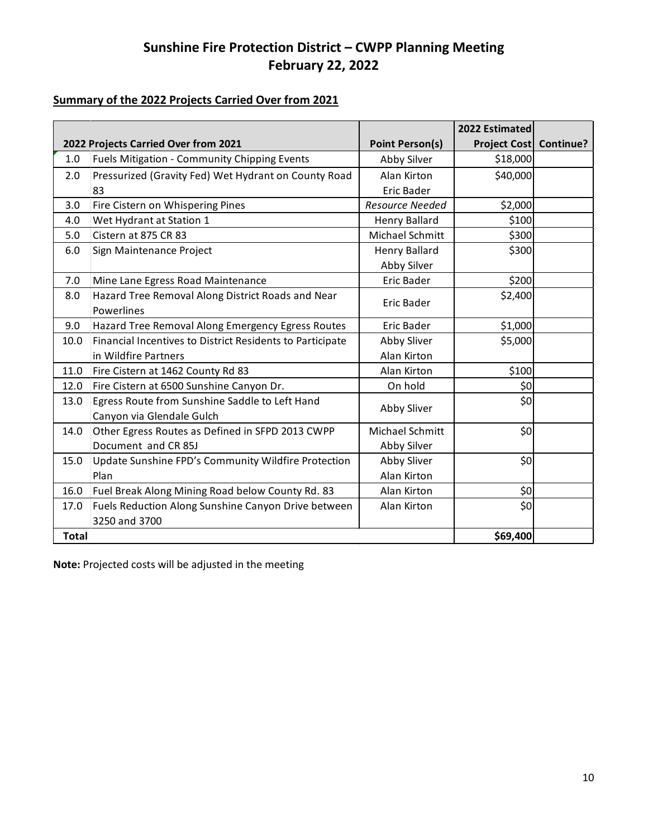## **Summary of the 2022 Projects Carried Over from 2021**

|              |                                                           |                        | 2022 Estimated         |  |
|--------------|-----------------------------------------------------------|------------------------|------------------------|--|
|              | 2022 Projects Carried Over from 2021                      | <b>Point Person(s)</b> | Project Cost Continue? |  |
| 1.0          | Fuels Mitigation - Community Chipping Events              | Abby Silver            | \$18,000               |  |
| 2.0          | Pressurized (Gravity Fed) Wet Hydrant on County Road      | Alan Kirton            | \$40,000               |  |
|              | 83                                                        | Eric Bader             |                        |  |
| 3.0          | Fire Cistern on Whispering Pines                          | Resource Needed        | \$2,000                |  |
| 4.0          | Wet Hydrant at Station 1                                  | <b>Henry Ballard</b>   | \$100                  |  |
| 5.0          | Cistern at 875 CR 83                                      | Michael Schmitt        | \$300                  |  |
| 6.0          | Sign Maintenance Project                                  | Henry Ballard          | \$300                  |  |
|              |                                                           | Abby Silver            |                        |  |
| 7.0          | Mine Lane Egress Road Maintenance                         | <b>Eric Bader</b>      | \$200                  |  |
| 8.0          | Hazard Tree Removal Along District Roads and Near         | Eric Bader             | \$2,400                |  |
|              | Powerlines                                                |                        |                        |  |
| 9.0          | Hazard Tree Removal Along Emergency Egress Routes         | Eric Bader             | \$1,000                |  |
| 10.0         | Financial Incentives to District Residents to Participate | Abby Sliver            | \$5,000                |  |
|              | in Wildfire Partners                                      | Alan Kirton            |                        |  |
| 11.0         | Fire Cistern at 1462 County Rd 83                         | Alan Kirton            | \$100                  |  |
| 12.0         | Fire Cistern at 6500 Sunshine Canyon Dr.                  | On hold                | \$0                    |  |
| 13.0         | Egress Route from Sunshine Saddle to Left Hand            | Abby Sliver            | \$0                    |  |
|              | Canyon via Glendale Gulch                                 |                        |                        |  |
| 14.0         | Other Egress Routes as Defined in SFPD 2013 CWPP          | Michael Schmitt        | \$0                    |  |
|              | Document and CR 85J                                       | Abby Silver            |                        |  |
| 15.0         | Update Sunshine FPD's Community Wildfire Protection       | Abby Sliver            | \$0                    |  |
|              | Plan                                                      | Alan Kirton            |                        |  |
| 16.0         | Fuel Break Along Mining Road below County Rd. 83          | Alan Kirton            | \$0                    |  |
| 17.0         | Fuels Reduction Along Sunshine Canyon Drive between       | Alan Kirton            | \$0                    |  |
|              | 3250 and 3700                                             |                        |                        |  |
| <b>Total</b> |                                                           |                        | \$69,400               |  |

**Note:** Projected costs will be adjusted in the meeting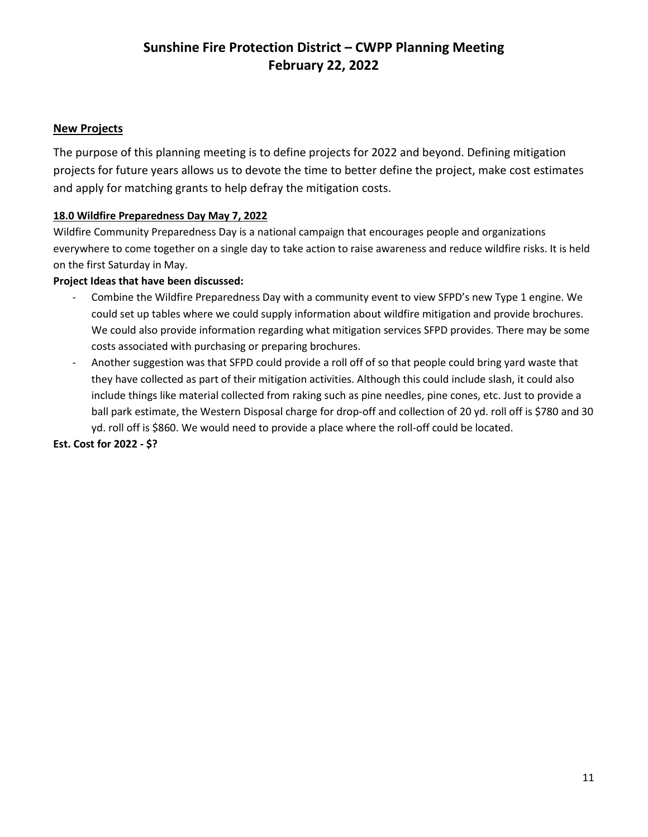### **New Projects**

The purpose of this planning meeting is to define projects for 2022 and beyond. Defining mitigation projects for future years allows us to devote the time to better define the project, make cost estimates and apply for matching grants to help defray the mitigation costs.

#### **18.0 Wildfire Preparedness Day May 7, 2022**

Wildfire Community Preparedness Day is a national campaign that encourages people and organizations everywhere to come together on a single day to take action to raise awareness and reduce wildfire risks. It is held on the first Saturday in May.

#### **Project Ideas that have been discussed:**

- Combine the Wildfire Preparedness Day with a community event to view SFPD's new Type 1 engine. We could set up tables where we could supply information about wildfire mitigation and provide brochures. We could also provide information regarding what mitigation services SFPD provides. There may be some costs associated with purchasing or preparing brochures.
- Another suggestion was that SFPD could provide a roll off of so that people could bring yard waste that they have collected as part of their mitigation activities. Although this could include slash, it could also include things like material collected from raking such as pine needles, pine cones, etc. Just to provide a ball park estimate, the Western Disposal charge for drop-off and collection of 20 yd. roll off is \$780 and 30 yd. roll off is \$860. We would need to provide a place where the roll-off could be located.

#### **Est. Cost for 2022 - \$?**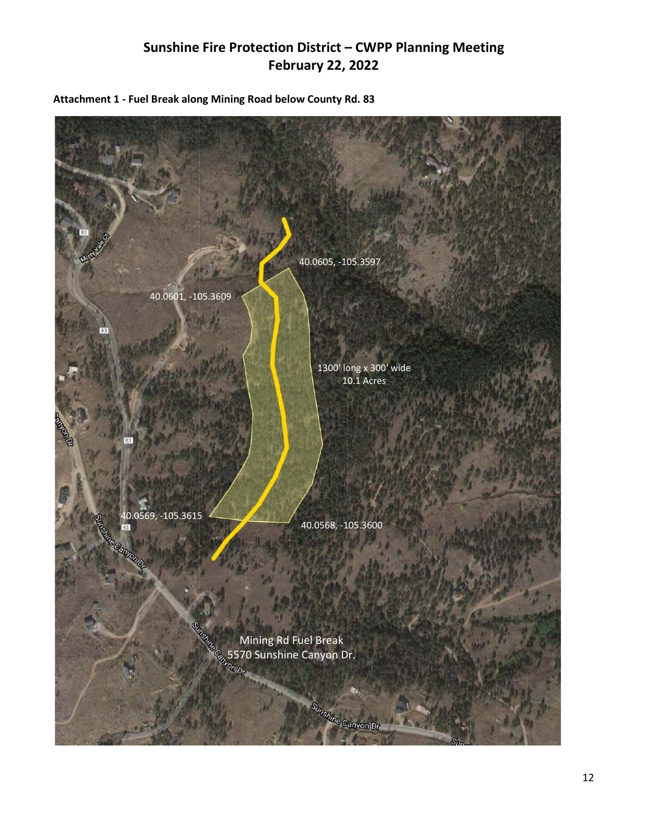

**Attachment 1 - Fuel Break along Mining Road below County Rd. 83**